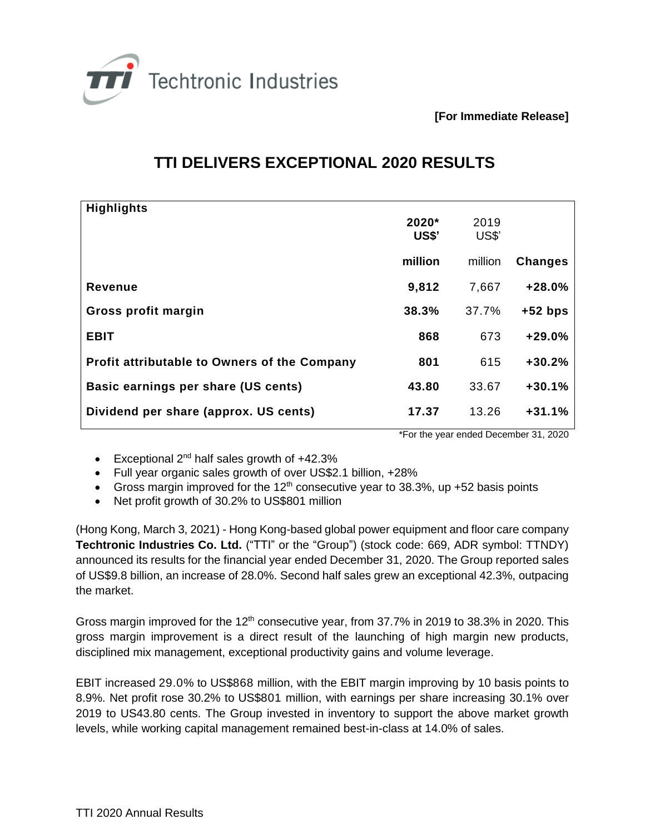

**[For Immediate Release]**

## **TTI DELIVERS EXCEPTIONAL 2020 RESULTS**

| <b>Highlights</b>                                   |              |         |                |
|-----------------------------------------------------|--------------|---------|----------------|
|                                                     | $2020*$      | 2019    |                |
|                                                     | <b>US\$'</b> | US\$'   |                |
|                                                     | million      | million | <b>Changes</b> |
|                                                     |              |         |                |
| Revenue                                             | 9,812        | 7,667   | $+28.0%$       |
| Gross profit margin                                 | 38.3%        | 37.7%   | $+52$ bps      |
|                                                     |              |         |                |
| <b>EBIT</b>                                         | 868          | 673     | $+29.0%$       |
| <b>Profit attributable to Owners of the Company</b> | 801          | 615     | $+30.2%$       |
|                                                     |              |         |                |
| Basic earnings per share (US cents)                 | 43.80        | 33.67   | $+30.1%$       |
| Dividend per share (approx. US cents)               | 17.37        | 13.26   | $+31.1%$       |
|                                                     |              |         |                |

\*For the year ended December 31, 2020

- Exceptional  $2^{nd}$  half sales growth of  $+42.3%$
- Full year organic sales growth of over US\$2.1 billion, +28%
- Gross margin improved for the 12<sup>th</sup> consecutive year to 38.3%, up  $+52$  basis points
- Net profit growth of 30.2% to US\$801 million

(Hong Kong, March 3, 2021) - Hong Kong-based global power equipment and floor care company **Techtronic Industries Co. Ltd.** ("TTI" or the "Group") (stock code: 669, ADR symbol: TTNDY) announced its results for the financial year ended December 31, 2020. The Group reported sales of US\$9.8 billion, an increase of 28.0%. Second half sales grew an exceptional 42.3%, outpacing the market.

Gross margin improved for the  $12<sup>th</sup>$  consecutive year, from 37.7% in 2019 to 38.3% in 2020. This gross margin improvement is a direct result of the launching of high margin new products, disciplined mix management, exceptional productivity gains and volume leverage.

EBIT increased 29.0% to US\$868 million, with the EBIT margin improving by 10 basis points to 8.9%. Net profit rose 30.2% to US\$801 million, with earnings per share increasing 30.1% over 2019 to US43.80 cents. The Group invested in inventory to support the above market growth levels, while working capital management remained best-in-class at 14.0% of sales.